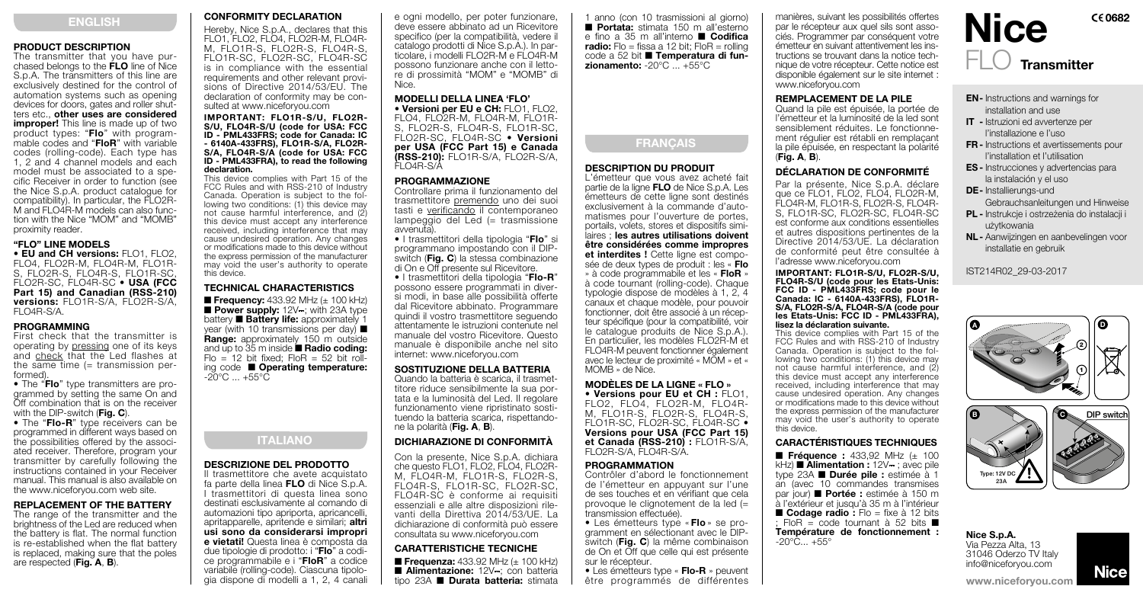## ENGLISH

## PRODUCT DESCRIPTION

The transmitter that you have purchased belongs to the FLO line of Nice S.p.A. The transmitters of this line are exclusively destined for the control of automation systems such as opening devices for doors, gates and roller shutters etc., other uses are considered improper! This line is made up of two product types: "Flo" with programmable codes and "FloR" with variable codes (rolling-code). Each type has 1, 2 and 4 channel models and each model must be associated to a specific Receiver in order to function (see the Nice S.p.A. product catalogue for compatibility). In particular, the FLO2R-M and FLO4R-M models can also function with the Nice "MOM" and "MOMB" proximity reader.

## "FLO" LINE MODELS

• EU and CH versions: FLO1, FLO2, FLO4, FLO2R-M, FLO4R-M, FLO1R-S, FLO2R-S, FLO4R-S, FLO1R-SC FLO2R-SC, FLO4R-SC • USA (FCC Part 15) and Canadian (RSS-210) versions: FLO1R-S/A, FLO2R-S/A FLO4R-S/A.

## PROGRAMMING

First check that the transmitter is operating by pressing one of its keys and check that the Led flashes at the same time (= transmission performed).

• The "Flo" type transmitters are programmed by setting the same On and Off combination that is on the receiver with the DIP-switch (Fig. C).

• The "Flo-R" type receivers can be programmed in different ways based on<br>the possibilities offered by the associated receiver. Therefore, program your transmitter by carefully following the instructions contained in your Receiver manual. This manual is also available on the www.niceforyou.com web site.

## REPLACEMENT OF THE BATTERY

The range of the transmitter and the brightness of the Led are reduced when the battery is flat. The normal function is re-established when the flat battery is replaced, making sure that the poles are respected (Fig. A, B).

## CONFORMITY DECLARATION

Hereby, Nice S.p.A., declares that this FLO1, FLO2, FLO4, FLO2R-M, FLO4R-M, FLO1R-S, FLO2R-S, FLO4R-S FLO1R-SC, FLO2R-SC, FLO4R-SC is in compliance with the essential requirements and other relevant provisions of Directive 2014/53/EU. The declaration of conformity may be con- sulted at www.niceforyou.com

#### IMPORTANT: FLO1R-S/U, FLO2R-S/U, FLO4R-S/U (code for USA: FCC ID - PML433FRS; code for Canada: IC - 6140A-433FRS), FLO1R-S/A, FLO2R-S/A, FLO4R-S/A (code for USA: FCC ID - PML433FRA), to read the following declaration.

This device complies with Part 15 of the FCC Rules and with RSS-210 of Industry<br>Canada, Operation is subject to the following two conditions: (1) this device may not cause harmful interference, and (2) this device must accept any interference received, including interference that may cause undesired operation. Any changes or modifications made to this device without the express permission of the manufacturer may void the user's authority to operate this device.

## TECHNICAL CHARACTERISTICS

■ Frequency: 433.92 MHz (± 100 kHz) ■ Power supply: 12V : with 23A type battery ■ Battery life: approximately 1 year (with 10 transmissions per day) ■ Range: approximately 150 m outside and up to 35 m inside ■ Radio coding:  $F|_0 = 12$  bit fixed;  $F|_0 = 52$  bit rolling code ■ Operating temperature: -20°C ... +55°C

## ITALIANO

## DESCRIZIONE DEL PRODOTTO

Il trasmettitore che avete acquistato fa parte della linea FLO di Nice S.p.A. I trasmettitori di questa linea sono destinati esclusivamente al comando di automazioni tipo apriporta, apricancelli, apritapparelle, apritende e similari; altri usi sono da considerarsi impropri e vietati! Questa linea è composta da due tipologie di prodotto: i "Flo" a codice programmabile e i "FloR" a codice variabile (rolling-code). Ciascuna tipologia dispone di modelli a 1, 2, 4 canali e ogni modello, per poter funzionare, deve essere abbinato ad un Ricevitore specifico (per la compatibilità, vedere il catalogo prodotti di Nice S.p.A.). In particolare, i modelli FLO2R-M e FLO4R-M possono funzionare anche con il lettore di prossimità "MOM" e "MOMB" di Nice.

## MODELLI DELLA LINEA 'FLO'

• Versioni per EU e CH: FLO1, FLO2, FLO4, FLO2R-M, FLO4R-M, FLO1R-S, FLO2R-S, FLO4R-S, FLO1R-SC, FLO2R-SC, FLO4R-SC · Versioni per USA (FCC Part 15) e Canada (RSS-210): FLO1R-S/A, FLO2R-S/A, FLO4R-S/A

## PROGRAMMAZIONE

Controllare prima il funzionamento del trasmettitore premendo uno dei suoi tasti e verificando il contemporaneo lampeggio del Led (= trasmissione avvenuta).

• I trasmettitori della tipologia "Flo" si programmano impostando con il DIPswitch (Fig. C) la stessa combinazione di On e Off presente sul Ricevitore.

• I trasmettitori della tipologia "Flo-R" possono essere programmati in diversi modi, in base alle possibilità offerte dal Ricevitore abbinato. Programmare quindi il vostro trasmettitore seguendo attentamente le istruzioni contenute nel manuale del vostro Ricevitore. Questo manuale è disponibile anche nel sito internet: www.niceforyou.com

# **SOSTITUZIONE DELLA BATTERIA**<br>Quando la batteria è scarica, il trasmet-

titore riduce sensibilmente la sua por-<br>tata e la luminosità del Led. Il regolare funzionamento viene ripristinato sostituendo la batteria scarica, rispettandone la polarità (Fig. A, B).

## DICHIARAZIONE DI CONFORMITÀ

Con la presente, Nice S.p.A. dichiara che questo FLO1, FLO2, FLO4, FLO2R-M, FLO4R-M, FLO1R-S, FLO2R-S, FLO4R-S, FLO1R-SC, FLO2R-SC, FLO4R-SC è conforme ai requisiti essenziali e alle altre disposizioni rilevanti della Direttiva 2014/53/UE. La dichiarazione di conformità può essere consultata su www.niceforyou.com

# **CARATTERISTICHE TECNICHE**<br>■ Frequenza: 433.92 MHz (+ 100 kHz)

■ Alimentazione: 12V ; con batteria tipo 23A ■ Durata batteria: stimata 1 anno (con 10 trasmissioni al giorno) ■ Portata: stimata 150 m all'esterno e fino a 35 m all'interno ■ Codifica radio: Flo = fissa a 12 bit; FloR = rolling code a 52 bit ■ Temperatura di fun $zionamento: -20°C + 55°C$ 



## DESCRIPTION DU PRODUIT

L'émetteur que vous avez acheté fait partie de la ligne FLO de Nice S.p.A. Les émetteurs de cette ligne sont destinés exclusivement à la commande d'automatismes pour l'ouverture de portes, portails, volets, stores et dispositifs similaires ; les autres utilisations doivent être considérées comme impropres et interdites ! Cette ligne est composée de deux types de produit : les « Flo » à code programmabile et les « FloR » à code tournant (rolling-code). Chaque typologie dispose de modèles à 1, 2, 4 canaux et chaque modèle, pour pouvoir fonctionner, doit être associé à un récepteur spécifique (pour la compatibilité, voir le catalogue produits de Nice S.p.A.). En particulier, les modèles FLO2R-M et FLO4R-M peuvent fonctionner également avec le lecteur de proximité « MOM » et « MOMB » de Nice.

## **MODÈLES DE LA LIGNE « FLO »**<br>• Versions pour EU et CH : FLO1. FLO2, FLO4, FLO2R-M, FLO4R M, FLO1R-S, FLO2R-S, FLO4R-S

FLO1R-SC, FLO2R-SC, FLO4R-SC • Versions pour USA (FCC Part 15) et Canada (RSS-210) : FLO1R-S/A,<br>FLO2R-S/A, FLO4R-S/A.

#### PROGRAMMATION

Contrôler d'abord le fonctionnement de l'émetteur en appuyant sur l'une de ses touches et en vérifiant que cela provoque le clignotement de la led (= transmission effectuée).

• Les émetteurs type « Flo » se programment en sélectionant avec le DIPswitch (Fig. C) la même combinaison de On et Off que celle qui est présente

sur le récepteur.<br>• Les émetteurs type « Flo-R » peuvent être programmés de différentes manières, suivant les possibilités offertes par le récepteur aux quel sils sont associés. Programmer par conséquent votre émetteur en suivant attentivement les instructions se trouvant dans la notice technique de votre récepteur. Cette notice est disponible également sur le site internet : www.niceforyou.com

## REMPLACEMENT DE LA PILE

Quand la pile est épuisée, la portée de l'émetteur et la luminosité de la led sont sensiblement réduites. Le fonctionnement régulier est rétabli en remplaçant la pile épuisée, en respectant la polarité (Fig. A, B).

## DÉCLARATION DE CONFORMITÉ

2 l'adresse www.niceforyou.com Par la présente, Nice S.p.A. déclare que ce  $FLO1$ ,  $FLO2$ ,  $FLO4$ ,  $FLO2R-M$ FLO4R-M, FLO1R-S, FLO2R-S, FLO4R-S, FLO1R-SC, FLO2R-SC, FLO4R-SC est conforme aux conditions essentielles et autres dispositions pertinentes de la Directive 2014/53/UE. La déclaration de conformité peut être consultée à

1 Canada: IC - 6140A-433FRS), FLO1R-IMPORTANT: FLO1R-S/U, FLO2R-S/U, FLO4R-S/U (code pour les Etats-Unis: FCC ID - PML433FRS; code pour le S/A, FLO2R-S/A, FLO4R-S/A (code pour les Etats-Unis: FCC ID - PML433FRA), lisez la déclaration suivante.

may void the user's authority to operate<br>this dovice This device complies with Part 15 of the FCC Rules and with RSS-210 of Industry Canada. Operation is subject to the following two conditions: (1) this device may not cause harmful interference, and (2) this device must accept any interference received, including interference that may cause undesired operation. Any changes or modifications made to this device without the express permission of the manufacturer this device.

## CARACTÉRISTIQUES TECHNIQUES

■ **Frequence :** 433,92 MHz (± 100<br>kHz) ■ **Alimentation :** 12V-; avec pile ■ Fréquence : 433,92 MHz (± 100 type 23A ■ Durée pile : estimée à 1<br>an (avec 10 commandes transmises<br>par jour) ■ Portée : estimée à 150 m à l'extérieur et jusqu'à 35 m à l'intérieur<br>■ Codage radio : Flo = fixe à 12 bits ; FloR = code tournant à 52 bits ■ Température de fonctionnement :

 $-20^{\circ}$ C...  $+55^{\circ}$ 

Nice S.p.A. Via Pezza Alta, 13 31046 Oderzo TV Italy info@niceforyou.com

Type:  $12V$  D 23A

A



1 2 (O

www.niceforyou.com

installatie en gebruik

IST214R02\_29-03-2017

 użytkowania NL- Aanwijzingen en aanbevelingen voor

EN- Instructions and warnings for installation and use IT - Istruzioni ed avvertenze per l'installazione e l'uso FR - Instructions et avertissements pour l'installation et l'utilisation ES - Instrucciones y advertencias para la instalación y el uso DE- Installierungs-und

**[Nice](https://www.ultramaster.ro/automatizari-porti.html)** 

 Gebrauchsanleitungen und Hinweise PL - Instrukcie i ostrzeżenia do instalacji i

Transmitter

**Nice** 

 $C60682$